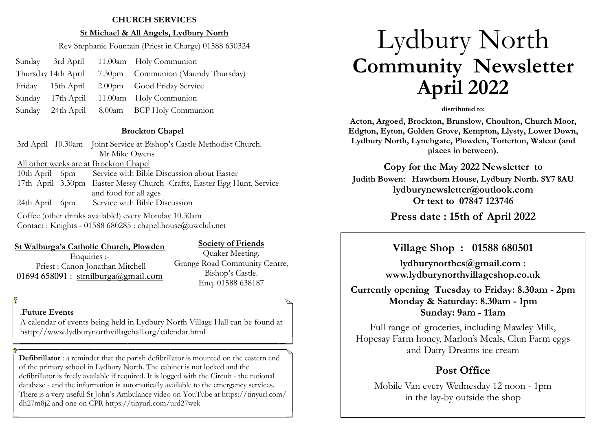#### **CHURCH SERVICES**

#### **St Michael & All Angels, Lydbury North**

Rev Stephanie Fountain (Priest in Charge) 01588 630324

- Sunday 3rd April 11.00am Holy Communion
- Thursday 14th April 7.30pm Communion (Maundy Thursday)
- Friday 15th April 2.00pm Good Friday Service
- Sunday 17th April 11.00am Holy Communion
- Sunday 24th April 8.00am BCP Holy Communion

#### **Brockton Chapel**

3rd April 10.30am Joint Service at Bishop's Castle Methodist Church. Mr Mike Owens All other weeks are at Brockton Chapel 10th April 6pm Service with Bible Discussion about Easter 17th April 3.30pm Easter Messy Church -Crafts, Easter Egg Hunt, Service and food for all ages 24th April 6pm Service with Bible Discussion

Coffee (other drinks available!) every Monday 10.30am Contact : Knights - 01588 680285 : chapel.house@uwclub.net

#### **St Walburga's Catholic Church, Plowden**

#### **Society of Friends**

Enquiries :-Priest : Canon Jonathan Mitchell 01694 658091 : [stmilburga@gmail.com](mailto:stmilburga@gmail.com)

Quaker Meeting. Grange Road Community Centre, Bishop's Castle. Enq. 01588 638187

#### .**Future Events**

A calendar of events being held in Lydbury North Village Hall can be found at hsttp://www.lydburynorthvillagehall.org/calendar.html

**Defibrillator** : a reminder that the parish defibrillator is mounted on the eastern end of the primary school in Lydbury North. The cabinet is not locked and the defibrillator is freely available if required. It is logged with the Circuit - the national database - and the information is automatically available to the emergency services. There is a very useful St John's Ambulance video on YouTube at https://tinyurl.com/ dh27m8j2 and one on CPR https://tinyurl.com/urd27wek

# Lydbury North **Community Newsletter April 2022**

#### **distributed to:**

**Acton, Argoed, Brockton, Brunslow, Choulton, Church Moor, Edgton, Eyton, Golden Grove, Kempton, Llysty, Lower Down, Lydbury North, Lynchgate, Plowden, Totterton, Walcot (and places in between).**

**Copy for the May 2022 Newsletter to Judith Bowen: Hawthorn House, Lydbury North. SY7 8AU lydburynewsletter@outlook.com Or text to 07847 123746** 

**Press date : 15th of April 2022** 

## **Village Shop : 01588 680501**

**lydburynorthcs@gmail.com : www.lydburynorthvillageshop.co.uk** 

**Currently opening Tuesday to Friday: 8.30am - 2pm Monday & Saturday: 8.30am - 1pm Sunday: 9am - 11am**

Full range of groceries, including Mawley Milk, Hopesay Farm honey, Marlon's Meals, Clun Farm eggs and Dairy Dreams ice cream

## **Post Office**

Mobile Van every Wednesday 12 noon - 1pm in the lay-by outside the shop